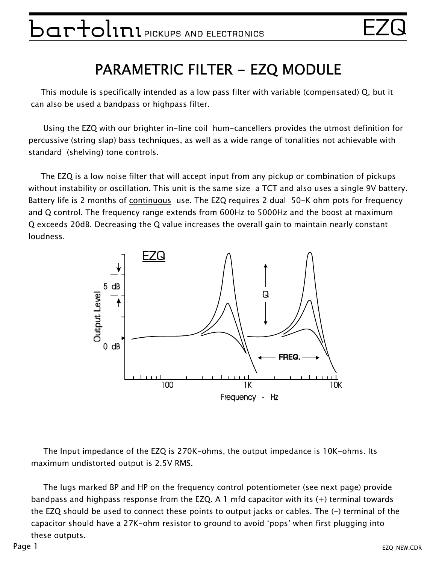# $\mathop{\mathtt{per}}$   $\mathop{\mathtt{C}}$   $\mathop{\mathtt{C}}$   $\mathop{\mathtt{C}}$   $\mathop{\mathtt{C}}$   $\mathop{\mathtt{C}}$   $\mathop{\mathtt{C}}$   $\mathop{\mathtt{C}}$   $\mathop{\mathtt{C}}$   $\mathop{\mathtt{C}}$   $\mathop{\mathtt{C}}$   $\mathop{\mathtt{C}}$   $\mathop{\mathtt{C}}$   $\mathop{\mathtt{C}}$   $\mathop{\mathtt{C}}$   $\mathop{\mathtt{C}}$   $\mathop{\mathtt{C}}$   $\mathop{\mathtt{C}}$   $\mathop{\$

#### PARAMETRIC FILTER - EZQ MODULE

 This module is specifically intended as a low pass filter with variable (compensated) Q, but it can also be used a bandpass or highpass filter.

 Using the EZQ with our brighter in-line coil hum-cancellers provides the utmost definition for percussive (string slap) bass techniques, as well as a wide range of tonalities not achievable with standard (shelving) tone controls.

 The EZQ is a low noise filter that will accept input from any pickup or combination of pickups without instability or oscillation. This unit is the same size a TCT and also uses a single 9V battery. Battery life is 2 months of continuous use. The EZQ requires 2 dual 50-K ohm pots for frequency and Q control. The frequency range extends from 600Hz to 5000Hz and the boost at maximum Q exceeds 20dB. Decreasing the Q value increases the overall gain to maintain nearly constant loudness.



 The Input impedance of the EZQ is 270K-ohms, the output impedance is 10K-ohms. Its maximum undistorted output is 2.5V RMS.

 The lugs marked BP and HP on the frequency control potentiometer (see next page) provide bandpass and highpass response from the EZQ. A 1 mfd capacitor with its (+) terminal towards the EZQ should be used to connect these points to output jacks or cables. The (-) terminal of the capacitor should have a 27K-ohm resistor to ground to avoid 'pops' when first plugging into these outputs.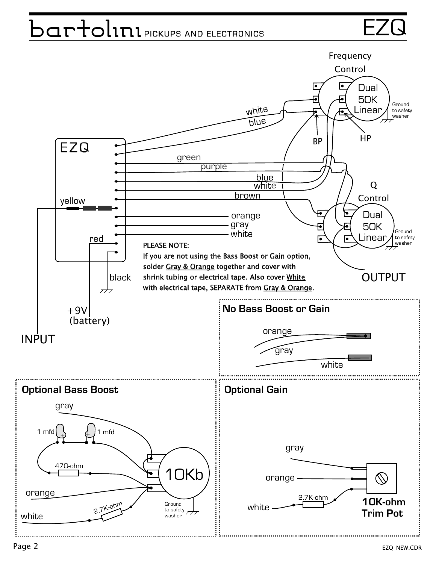# $\Box$ artolini $\blacksquare$ pickups and electronics  $\blacksquare$

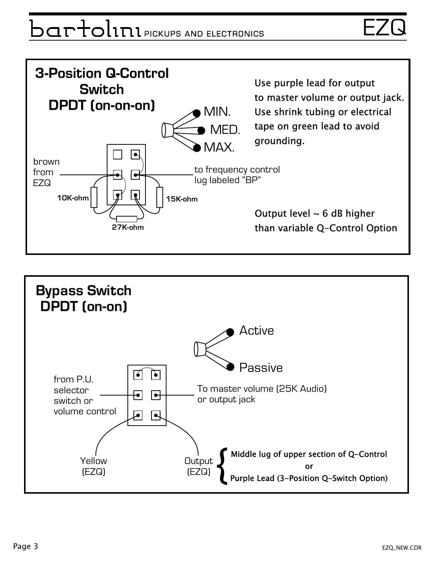# $\mathsf{par}$ d $\mathsf{l}$ nn pickups and electronics